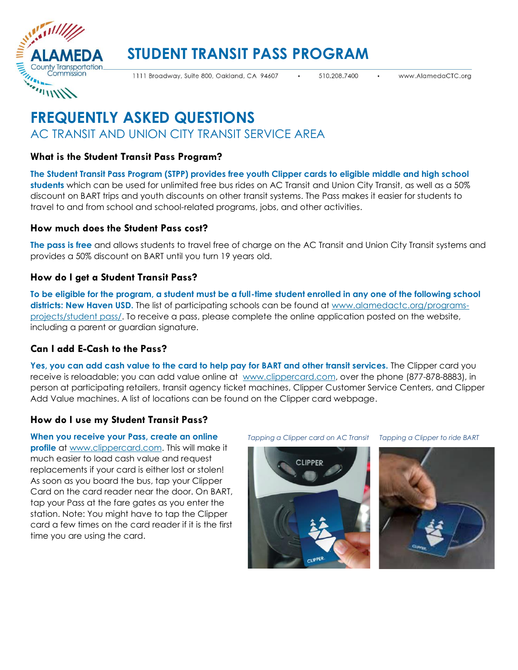

# **STUDENT TRANSIT PASS PROGRAM**

1111 Broadway, Suite 800, Oakland, CA 94607

510.208.7400

# **FREQUENTLY ASKED QUESTIONS** AC TRANSIT AND UNION CITY TRANSIT SERVICE AREA

# **What is the Student Transit Pass Program?**

**The Student Transit Pass Program (STPP) provides free youth Clipper cards to eligible middle and high school students** which can be used for unlimited free bus rides on AC Transit and Union City Transit, as well as a 50% discount on BART trips and youth discounts on other transit systems. The Pass makes it easier for students to travel to and from school and school-related programs, jobs, and other activities.

### **How much does the Student Pass cost?**

**The pass is free** and allows students to travel free of charge on the AC Transit and Union City Transit systems and provides a 50% discount on BART until you turn 19 years old.

### **How do I get a Student Transit Pass?**

**To be eligible for the program, a student must be a full-time student enrolled in any one of the following school districts: New Haven USD.** The list of participating schools can be found at [www.alamedactc.org/programs](https://www.alamedactc.org/programs-projects/studentpass/)[projects/student pass/.](https://www.alamedactc.org/programs-projects/studentpass/) To receive a pass, please complete the online application posted on the website, including a parent or guardian signature.

# **Can I add E-Cash to the Pass?**

**Yes, you can add cash value to the card to help pay for BART and other transit services.** The Clipper card you receive is reloadable; you can add value online at [www.clippercard.com,](http://www.clipper.com/) over the phone (877-878-8883), in person at participating retailers, transit agency ticket machines, Clipper Customer Service Centers, and Clipper Add Value machines. A list of locations can be found on the Clipper card webpage.

# **How do I use my Student Transit Pass?**

**When you receive your Pass, create an online profile** at [www.clippercard.com.](http://www.clipper.com/) This will make it much easier to load cash value and request replacements if your card is either lost or stolen! As soon as you board the bus, tap your Clipper Card on the card reader near the door. On BART, tap your Pass at the fare gates as you enter the station. Note: You might have to tap the Clipper card a few times on the card reader if it is the first time you are using the card.

*Tapping a Clipper card on AC Transit Tapping a Clipper to ride BART*